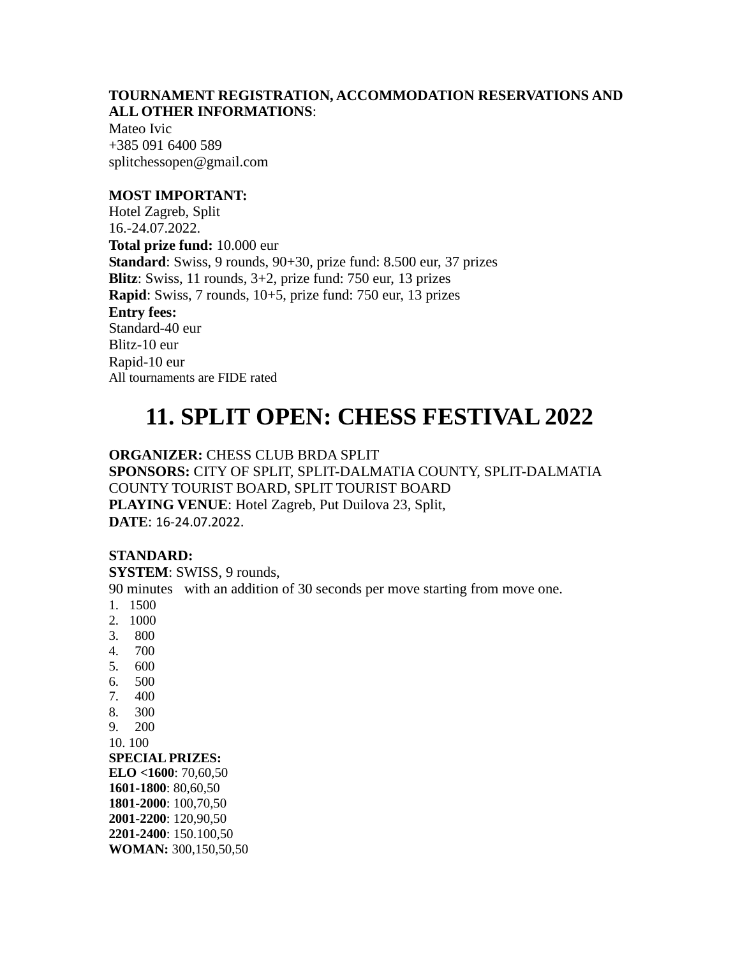## **TOURNAMENT REGISTRATION, ACCOMMODATION RESERVATIONS AND ALL OTHER INFORMATIONS**:

Mateo Ivic +385 091 6400 589 splitchessopen@gmail.com

# **MOST IMPORTANT:**

Hotel Zagreb, Split 16.-24.07.2022. **Total prize fund:** 10.000 eur **Standard**: Swiss, 9 rounds, 90+30, prize fund: 8.500 eur, 37 prizes **Blitz**: Swiss, 11 rounds, 3+2, prize fund: 750 eur, 13 prizes **Rapid**: Swiss, 7 rounds, 10+5, prize fund: 750 eur, 13 prizes **Entry fees:**  Standard-40 eur Blitz-10 eur Rapid-10 eur All tournaments are FIDE rated

# **11. SPLIT OPEN: CHESS FESTIVAL 2022**

**ORGANIZER:** CHESS CLUB BRDA SPLIT

**SPONSORS:** CITY OF SPLIT, SPLIT-DALMATIA COUNTY, SPLIT-DALMATIA COUNTY TOURIST BOARD, SPLIT TOURIST BOARD **PLAYING VENUE**: Hotel Zagreb, Put Duilova 23, Split, **DATE**: 16-24.07.2022.

## **STANDARD:**

**SYSTEM**: SWISS, 9 rounds,

90 minutes with an addition of 30 seconds per move starting from move one.

- 1. 1500
- 2. 1000
- 3. 800
- 4. 700
- 5. 600
- 6. 500
- 7. 400
- 8. 300
- 9. 200
- 10. 100

## **SPECIAL PRIZES:**

**ELO <1600**: 70,60,50 **1601-1800**: 80,60,50 **1801-2000**: 100,70,50 **2001-2200**: 120,90,50 **2201-2400**: 150.100,50 **WOMAN:** 300,150,50,50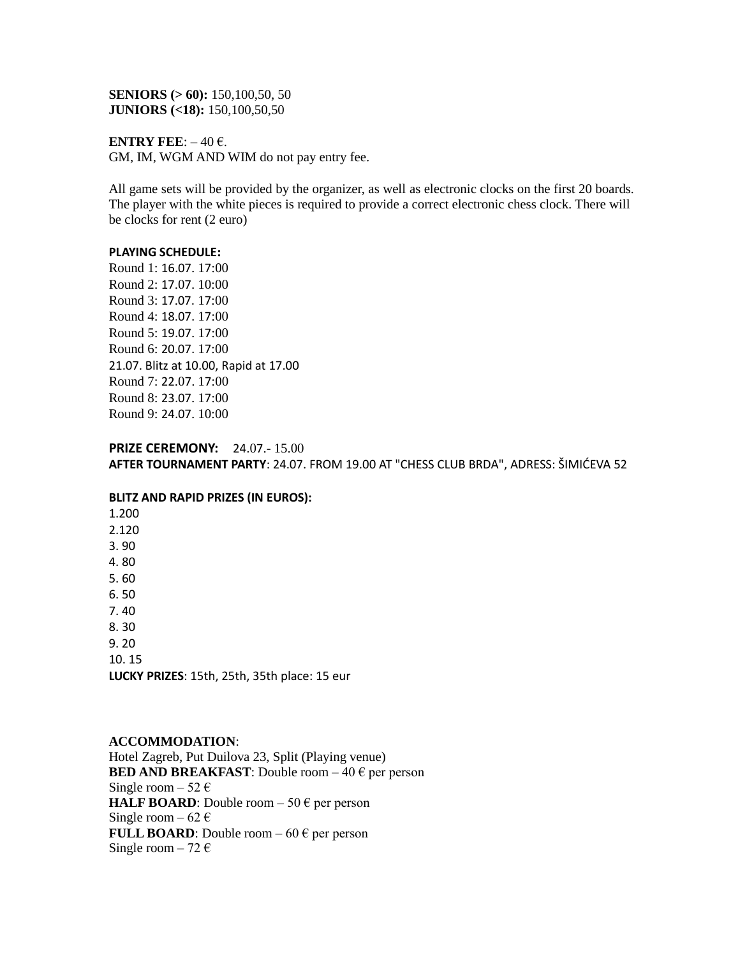**SENIORS (> 60):** 150,100,50, 50 **JUNIORS (<18):** 150,100,50,50

**ENTRY FEE:**  $-40 \in$ . GM, IM, WGM AND WIM do not pay entry fee.

All game sets will be provided by the organizer, as well as electronic clocks on the first 20 boards. The player with the white pieces is required to provide a correct electronic chess clock. There will be clocks for rent (2 euro)

#### **PLAYING SCHEDULE:**

Round 1: 16.07. 17:00 Round 2: 17.07. 10:00 Round 3: 17.07. 17:00 Round 4: 18.07. 17:00 Round 5: 19.07. 17:00 Round 6: 20.07. 17:00 21.07. Blitz at 10.00, Rapid at 17.00 Round 7: 22.07. 17:00 Round 8: 23.07. 17:00 Round 9: 24.07. 10:00

## **PRIZE CEREMONY:** 24.07.- 15.00

AFTER TOURNAMENT PARTY: 24.07. FROM 19.00 AT "CHESS CLUB BRDA", ADRESS: ŠIMIĆEVA 52

#### **BLITZ AND RAPID PRIZES (IN EUROS):**

1.200 2.120 3. 90 4. 80 5. 60 6. 50 7. 40 8. 30

9. 20

10. 15

**LUCKY PRIZES**: 15th, 25th, 35th place: 15 eur

## **ACCOMMODATION**:

Hotel Zagreb, Put Duilova 23, Split (Playing venue) **BED AND BREAKFAST:** Double room  $-40 \text{ }\epsilon$  per person Single room – 52  $\epsilon$ **HALF BOARD:** Double room  $-50 \text{ } \in$  per person Single room – 62  $\epsilon$ **FULL BOARD**: Double room  $-60 \text{ }\epsilon$  per person Single room  $-72 \in$